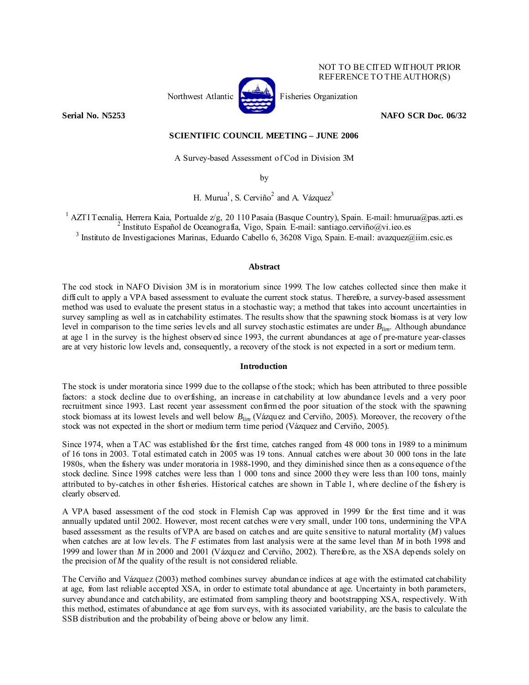

NOT TO BE CITED WITHOUT PRIOR REFERENCE TO THE AUTHOR(S)

**Serial No. N5253** NAFO SCR Doc. 06/32

# **SCIENTIFIC COUNCIL MEETING – JUNE 2006**

A Survey-based Assessment of Cod in Division 3M

by

H. Murua<sup>1</sup>, S. Cerviño<sup>2</sup> and A. Vázquez<sup>3</sup>

<sup>1</sup> AZTI Tecnalia, Herrera Kaia, Portualde z/g, 20 110 Pasaia (Basque Country), Spain. E-mail: hmurua@pas.azti.es <sup>2</sup> Instituto Español de Oceanografía, Vigo, Spain. E-mail: santiago.cerviño@vi.ieo.es  $3$  Instituto de Investigaciones Marinas, Eduardo Cabello 6, 36208 Vigo, Spain. E-mail: avazquez@iim.csic.es

## **Abstract**

The cod stock in NAFO Division 3M is in moratorium since 1999. The low catches collected since then make it difficult to apply a VPA based assessment to evaluate the current stock status. Therefore, a survey-based assessment method was used to evaluate the present status in a stochastic way; a method that takes into account uncertainties in survey sampling as well as in catchability estimates. The results show that the spawning stock biomass is at very low level in comparison to the time series levels and all survey stochastic estimates are under *Blim*. Although abundance at age 1 in the survey is the highest observed since 1993, the current abundances at age of pre-mature year-classes are at very historic low levels and, consequently, a recovery of the stock is not expected in a sort or medium term.

# **Introduction**

The stock is under moratoria since 1999 due to the collapse of the stock; which has been attributed to three possible factors: a stock decline due to overfishing, an increase in catchability at low abundance levels and a very poor recruitment since 1993. Last recent year assessment confirmed the poor situation of the stock with the spawning stock biomass at its lowest levels and well below *Blim* (Vázquez and Cerviño, 2005). Moreover, the recovery of the stock was not expected in the short or medium term time period (Vázquez and Cerviño, 2005).

Since 1974, when a TAC was established for the first time, catches ranged from 48 000 tons in 1989 to a minimum of 16 tons in 2003. Total estimated catch in 2005 was 19 tons. Annual catches were about 30 000 tons in the late 1980s, when the fishery was under moratoria in 1988-1990, and they diminished since then as a consequence of the stock decline. Since 1998 catches were less than 1 000 tons and since 2000 they were less than 100 tons, mainly attributed to by-catches in other fisheries. Historical catches are shown in Table 1, where decline of the fishery is clearly observed.

A VPA based assessment of the cod stock in Flemish Cap was approved in 1999 for the first time and it was annually updated until 2002. However, most recent catches were very small, under 100 tons, undermining the VPA based assessment as the results of VPA are based on catches and are quite sensitive to natural mortality (*M*) values when catches are at low levels. The *F* estimates from last analysis were at the same level than *M* in both 1998 and 1999 and lower than *M* in 2000 and 2001 (Vázquez and Cerviño, 2002). Therefore, as the XSA depends solely on the precision of  $M$  the quality of the result is not considered reliable.

The Cerviño and Vázquez (2003) method combines survey abundance indices at age with the estimated catchability at age, from last reliable accepted XSA, in order to estimate total abundance at age. Uncertainty in both parameters, survey abundance and catchability, are estimated from sampling theory and bootstrapping XSA, respectively. With this method, estimates of abundance at age from surveys, with its associated variability, are the basis to calculate the SSB distribution and the probability of being above or below any limit.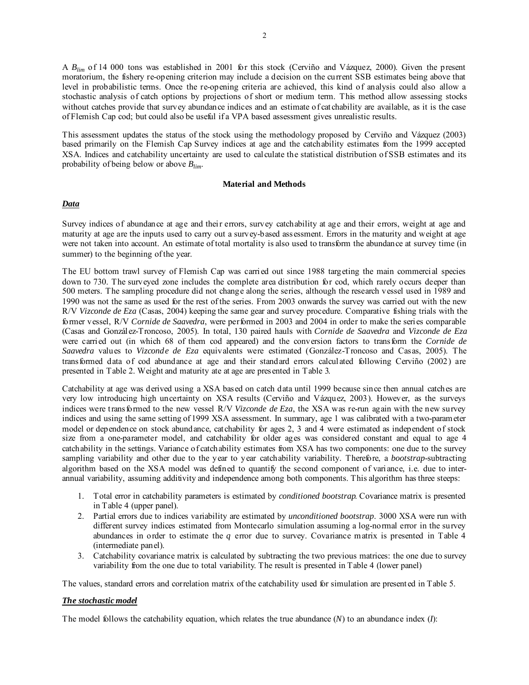A *Blim* of 14 000 tons was established in 2001 for this stock (Cerviño and Vázquez, 2000). Given the present moratorium, the fishery re-opening criterion may include a decision on the current SSB estimates being above that level in probabilistic terms. Once the re-opening criteria are achieved, this kind of analysis could also allow a stochastic analysis of catch options by projections of short or medium term. This method allow assessing stocks without catches provide that survey abundance indices and an estimate of cat chability are available, as it is the case of Flemish Cap cod; but could also be useful if a VPA based assessment gives unrealistic results.

This assessment updates the status of the stock using the methodology proposed by Cerviño and Vázquez (2003) based primarily on the Flemish Cap Survey indices at age and the catchability estimates from the 1999 accepted XSA. Indices and catchability uncertainty are used to calculate the statistical distribution of SSB estimates and its probability of being below or above *Blim*.

#### **Material and Methods**

## *Data*

Survey indices of abundance at age and their errors, survey catchability at age and their errors, weight at age and maturity at age are the inputs used to carry out a survey-based assessment. Errors in the maturity and weight at age were not taken into account. An estimate of total mortality is also used to transform the abundance at survey time (in summer) to the beginning of the year.

The EU bottom trawl survey of Flemish Cap was carried out since 1988 targeting the main commercial species down to 730. The surveyed zone includes the complete area distribution for cod, which rarely occurs deeper than 500 meters. The sampling procedure did not change along the series, although the research vessel used in 1989 and 1990 was not the same as used for the rest of the series. From 2003 onwards the survey was carried out with the new R/V *Vizconde de Eza* (Casas, 2004) keeping the same gear and survey procedure. Comparative fishing trials with the former vessel, R/V *Cornide de Saavedra*, were performed in 2003 and 2004 in order to make the series comparable (Casas and González-Troncoso, 2005). In total, 130 paired hauls with *Cornide de Saavedra* and *Vizconde de Eza* were carried out (in which 68 of them cod appeared) and the conversion factors to transform the *Cornide de Saavedra* values to *Vizconde de Eza* equivalents were estimated (González-Troncoso and Casas, 2005). The transformed data of cod abundance at age and their standard errors calculated following Cerviño (2002) are presented in Table 2. Weight and maturity ate at age are presented in Table 3.

Catchability at age was derived using a XSA based on catch data until 1999 because since then annual catches are very low introducing high uncertainty on XSA results (Cerviño and Vázquez, 2003). However, as the surveys indices were transformed to the new vessel R/V *Vizconde de Eza*, the XSA was re-run again with the new survey indices and using the same setting of 1999 XSA assessment. In summary, age 1 was calibrated with a two-parameter model or dependence on stock abundance, catchability for ages 2, 3 and 4 were estimated as independent of stock size from a one-parameter model, and catchability for older ages was considered constant and equal to age 4 catchability in the settings. Variance of catchability estimates from XSA has two components: one due to the survey sampling variability and other due to the year to year catchability variability. Therefore, a *bootstrap*-subtracting algorithm based on the XSA model was defined to quantify the second component of variance, i.e. due to interannual variability, assuming additivity and independence among both components. This algorithm has three steeps:

- 1. Total error in catchability parameters is estimated by *conditioned bootstrap*. Covariance matrix is presented in Table 4 (upper panel).
- 2. Partial errors due to indices variability are estimated by *unconditioned bootstrap*. 3000 XSA were run with different survey indices estimated from Montecarlo simulation assuming a log-normal error in the survey abundances in order to estimate the *q* error due to survey. Covariance matrix is presented in Table 4 (intermediate panel).
- 3. Catchability covariance matrix is calculated by subtracting the two previous matrices: the one due to survey variability from the one due to total variability. The result is presented in Table 4 (lower panel)

The values, standard errors and correlation matrix of the catchability used for simulation are presented in Table 5.

## *The stochastic model*

The model follows the catchability equation, which relates the true abundance (*N*) to an abundance index (*I*):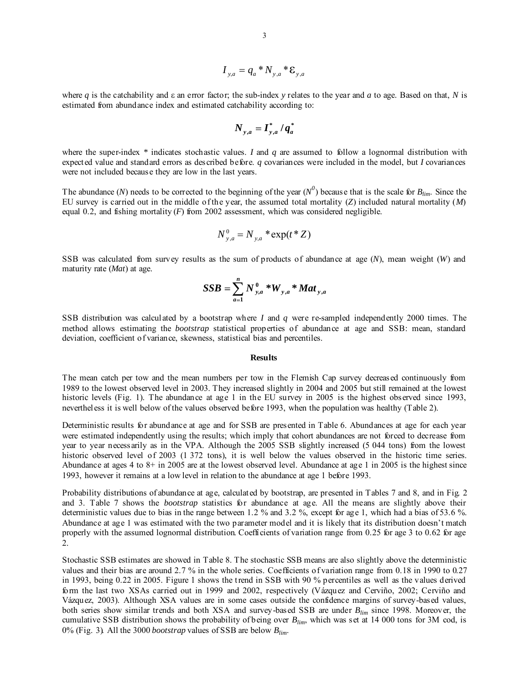$$
I_{y,a} = q_a * N_{y,a} * \varepsilon_{y,a}
$$

where *q* is the catchability and ε an error factor; the sub-index *y* relates to the year and *a* to age. Based on that, *N* is estimated from abundance index and estimated catchability according to:

$$
N_{y,a} = I_{y,a}^* / q_a^*
$$

where the super-index *\** indicates stochastic values. *I* and *q* are assumed to follow a lognormal distribution with expected value and standard errors as described before. *q* covariances were included in the model, but *I* covariances were not included because they are low in the last years.

The abundance (*N*) needs to be corrected to the beginning of the year ( $N^0$ ) because that is the scale for  $B_{lim}$ . Since the EU survey is carried out in the middle of the year, the assumed total mortality (*Z*) included natural mortality (*M*) equal 0.2, and fishing mortality  $(F)$  from 2002 assessment, which was considered negligible.

$$
N_{y,a}^0 = N_{y,a} * \exp(t * Z)
$$

SSB was calculated from survey results as the sum of products of abundance at age (*N*), mean weight (*W*) and maturity rate (*Mat*) at age.

$$
SSB = \sum_{a=1}^{n} N_{y,a}^{0} * W_{y,a} * Mat_{y,a}
$$

SSB distribution was calculated by a bootstrap where *I* and *q* were re-sampled independently 2000 times. The method allows estimating the *bootstrap* statistical properties of abundance at age and SSB: mean, standard deviation, coefficient of variance, skewness, statistical bias and percentiles.

#### **Results**

The mean catch per tow and the mean numbers per tow in the Flemish Cap survey decreased continuously from 1989 to the lowest observed level in 2003. They increased slightly in 2004 and 2005 but still remained at the lowest historic levels (Fig. 1). The abundance at age 1 in the EU survey in 2005 is the highest observed since 1993, nevertheless it is well below of the values observed before 1993, when the population was healthy (Table 2).

Deterministic results for abundance at age and for SSB are presented in Table 6. Abundances at age for each year were estimated independently using the results; which imply that cohort abundances are not forced to decrease from year to year necessarily as in the VPA. Although the 2005 SSB slightly increased (5 044 tons) from the lowest historic observed level of 2003 (1 372 tons), it is well below the values observed in the historic time series. Abundance at ages 4 to 8+ in 2005 are at the lowest observed level. Abundance at age 1 in 2005 is the highest since 1993, however it remains at a low level in relation to the abundance at age 1 before 1993.

Probability distributions of abundance at age, calculated by bootstrap, are presented in Tables 7 and 8, and in Fig. 2 and 3. Table 7 shows the *bootstrap* statistics for abundance at age. All the means are slightly above their deterministic values due to bias in the range between 1.2 % and 3.2 %, except for age 1, which had a bias of 53.6 %. Abundance at age 1 was estimated with the two parameter model and it is likely that its distribution doesn't match properly with the assumed lognormal distribution. Coefficients of variation range from 0.25 for age 3 to 0.62 for age 2.

Stochastic SSB estimates are showed in Table 8. The stochastic SSB means are also slightly above the deterministic values and their bias are around 2.7 % in the whole series. Coefficients of variation range from 0.18 in 1990 to 0.27 in 1993, being 0.22 in 2005. Figure 1 shows the trend in SSB with 90 % percentiles as well as the values derived form the last two XSAs carried out in 1999 and 2002, respectively (Vázquez and Cerviño, 2002; Cerviño and Vázquez, 2003). Although XSA values are in some cases outside the confidence margins of survey-based values, both series show similar trends and both XSA and survey-based SSB are under *Blim* since 1998. Moreover, the cumulative SSB distribution shows the probability of being over *Blim*, which was set at 14 000 tons for 3M cod, is 0% (Fig. 3). All the 3000 *bootstrap* values of SSB are below *Blim*.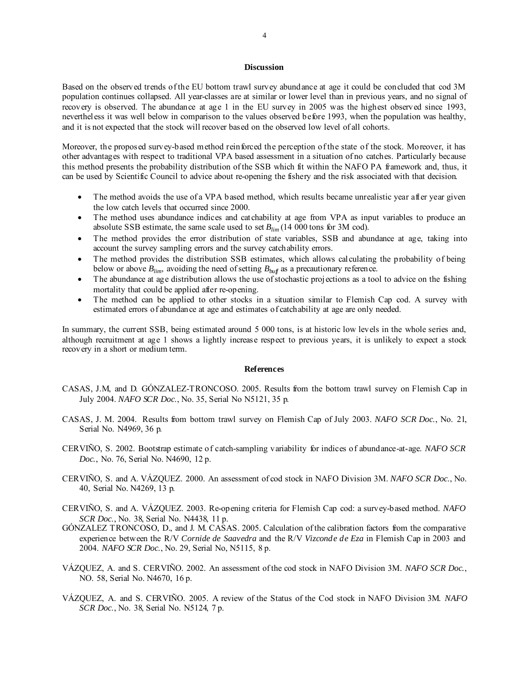#### **Discussion**

Based on the observed trends of the EU bottom trawl survey abundance at age it could be concluded that cod 3M population continues collapsed. All year-classes are at similar or lower level than in previous years, and no signal of recovery is observed. The abundance at age 1 in the EU survey in 2005 was the highest observed since 1993, nevertheless it was well below in comparison to the values observed before 1993, when the population was healthy, and it is not expected that the stock will recover based on the observed low level of all cohorts.

Moreover, the proposed survey-based method reinforced the perception of the state of the stock. Moreover, it has other advantages with respect to traditional VPA based assessment in a situation of no catches. Particularly because this method presents the probability distribution of the SSB which fit within the NAFO PA framework and, thus, it can be used by Scientific Council to advice about re-opening the fishery and the risk associated with that decision.

- The method avoids the use of a VPA based method, which results became unrealistic year after year given the low catch levels that occurred since 2000.
- The method uses abundance indices and catchability at age from VPA as input variables to produce an absolute SSB estimate, the same scale used to set *Blim* (14 000 tons for 3M cod).
- The method provides the error distribution of state variables, SSB and abundance at age, taking into account the survey sampling errors and the survey catchability errors.
- The method provides the distribution SSB estimates, which allows calculating the probability of being below or above  $B_{lim}$ , avoiding the need of setting  $B_{but}$  as a precautionary reference.
- The abundance at age distribution allows the use of stochastic projections as a tool to advice on the fishing mortality that could be applied after re-opening.
- The method can be applied to other stocks in a situation similar to Flemish Cap cod. A survey with estimated errors of abundance at age and estimates of catchability at age are only needed.

In summary, the current SSB, being estimated around 5 000 tons, is at historic low levels in the whole series and, although recruitment at age 1 shows a lightly increase respect to previous years, it is unlikely to expect a stock recovery in a short or medium term.

#### **References**

- CASAS, J.M, and D. GÓNZALEZ-TRONCOSO. 2005. Results from the bottom trawl survey on Flemish Cap in July 2004. *NAFO SCR Doc*., No. 35, Serial No N5121, 35 p.
- CASAS, J. M. 2004. Results from bottom trawl survey on Flemish Cap of July 2003. *NAFO SCR Doc*., No. 21, Serial No. N4969, 36 p.
- CERVIÑO, S. 2002. Bootstrap estimate of catch-sampling variability for indices of abundance-at-age. *NAFO SCR Doc.*, No. 76, Serial No. N4690, 12 p.
- CERVIÑO, S. and A. VÁZQUEZ. 2000. An assessment of cod stock in NAFO Division 3M. *NAFO SCR Doc*., No. 40, Serial No. N4269, 13 p.
- CERVIÑO, S. and A. VÁZQUEZ. 2003. Re-opening criteria for Flemish Cap cod: a survey-based method. *NAFO SCR Doc*., No. 38, Serial No. N4438, 11 p.
- GÓNZALEZ TRONCOSO, D., and J. M. CASAS. 2005. Calculation of the calibration factors from the comparative experience between the R/V *Cornide de Saavedra* and the R/V *Vizconde de Eza* in Flemish Cap in 2003 and 2004. *NAFO SCR Doc*., No. 29, Serial No, N5115, 8 p.
- VÁZQUEZ, A. and S. CERVIÑO. 2002. An assessment of the cod stock in NAFO Division 3M. *NAFO SCR Doc.*, NO. 58, Serial No. N4670, 16 p.
- VÁZQUEZ, A. and S. CERVIÑO. 2005. A review of the Status of the Cod stock in NAFO Division 3M. *NAFO SCR Doc*., No. 38, Serial No. N5124, 7 p.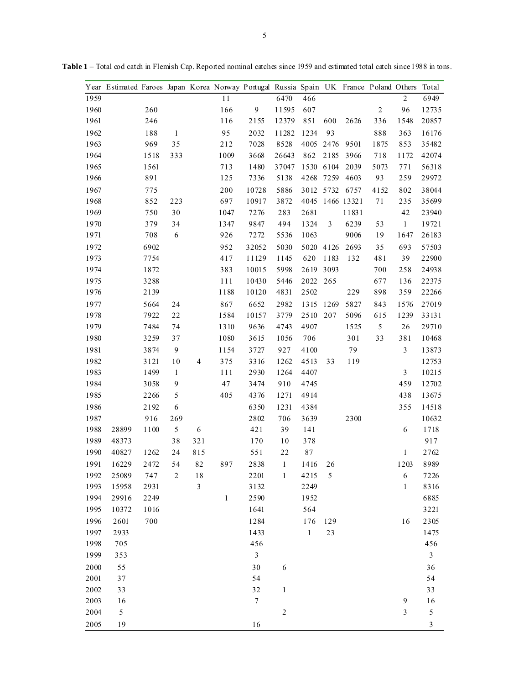|      | Year Estimated Faroes Japan Korea Norway Portugal Russia Spain UK France Poland Others |      |                  |     |              |                  |                |              |                |                |            |                  | Total          |
|------|----------------------------------------------------------------------------------------|------|------------------|-----|--------------|------------------|----------------|--------------|----------------|----------------|------------|------------------|----------------|
| 1959 |                                                                                        |      |                  |     | 11           |                  | 6470           | 466          |                |                |            | $\overline{2}$   | 6949           |
| 1960 |                                                                                        | 260  |                  |     | 166          | $\mathbf{9}$     | 11595          | 607          |                |                | $\sqrt{2}$ | 96               | 12735          |
| 1961 |                                                                                        | 246  |                  |     | 116          | 2155             | 12379          | 851          | 600            | 2626           | 336        | 1548             | 20857          |
| 1962 |                                                                                        | 188  | $\mathbf{1}$     |     | 95           | 2032             | 11282          | 1234         | 93             |                | 888        | 363              | 16176          |
| 1963 |                                                                                        | 969  | 35               |     | 212          | 7028             | 8528           | 4005         | 2476           | 9501           | 1875       | 853              | 35482          |
| 1964 |                                                                                        | 1518 | 333              |     | 1009         | 3668             | 26643          | 862          | 2185           | 3966           | 718        | 1172             | 42074          |
| 1965 |                                                                                        | 1561 |                  |     | 713          | 1480             | 37047          | 1530         | 6104           | 2039           | 5073       | 771              | 56318          |
| 1966 |                                                                                        | 891  |                  |     | 125          | 7336             | 5138           | 4268         | 7259           | 4603           | 93         | 259              | 29972          |
| 1967 |                                                                                        | 775  |                  |     | 200          | 10728            | 5886           |              |                | 3012 5732 6757 | 4152       | 802              | 38044          |
| 1968 |                                                                                        | 852  | 223              |     | 697          | 10917            | 3872           | 4045         |                | 1466 13321     | 71         | 235              | 35699          |
| 1969 |                                                                                        | 750  | 30               |     | 1047         | 7276             | 283            | 2681         |                | 11831          |            | 42               | 23940          |
| 1970 |                                                                                        | 379  | 34               |     | 1347         | 9847             | 494            | 1324         | $\mathfrak{Z}$ | 6239           | 53         | $\,1$            | 19721          |
| 1971 |                                                                                        | 708  | 6                |     | 926          | 7272             | 5536           | 1063         |                | 9006           | 19         | 1647             | 26183          |
| 1972 |                                                                                        | 6902 |                  |     | 952          | 32052            | 5030           | 5020         | 4126           | 2693           | 35         | 693              | 57503          |
| 1973 |                                                                                        | 7754 |                  |     | 417          | 11129            | 1145           | 620          | 1183           | 132            | 481        | 39               | 22900          |
| 1974 |                                                                                        | 1872 |                  |     | 383          | 10015            | 5998           | 2619         | 3093           |                | 700        | 258              | 24938          |
| 1975 |                                                                                        | 3288 |                  |     | 111          | 10430            | 5446           | 2022         | 265            |                | 677        | 136              | 22375          |
| 1976 |                                                                                        | 2139 |                  |     | 1188         | 10120            | 4831           | 2502         |                | 229            | 898        | 359              | 22266          |
| 1977 |                                                                                        | 5664 | 24               |     | 867          | 6652             | 2982           | 1315         | 1269           | 5827           | 843        | 1576             | 27019          |
| 1978 |                                                                                        | 7922 | 22               |     | 1584         | 10157            | 3779           | 2510         | 207            | 5096           | 615        | 1239             | 33131          |
| 1979 |                                                                                        | 7484 | 74               |     | 1310         | 9636             | 4743           | 4907         |                | 1525           | $\sqrt{5}$ | 26               | 29710          |
| 1980 |                                                                                        | 3259 | 37               |     | 1080         | 3615             | 1056           | 706          |                | 301            | 33         | 381              | 10468          |
| 1981 |                                                                                        | 3874 | 9                |     | 1154         | 3727             | 927            | 4100         |                | 79             |            | $\mathfrak{Z}$   | 13873          |
| 1982 |                                                                                        | 3121 | 10               | 4   | 375          | 3316             | 1262           | 4513         | 33             | 119            |            |                  | 12753          |
| 1983 |                                                                                        | 1499 | $\mathbf{1}$     |     | 111          | 2930             | 1264           | 4407         |                |                |            | $\mathfrak{Z}$   | 10215          |
| 1984 |                                                                                        | 3058 | 9                |     | $47\,$       | 3474             | 910            | 4745         |                |                |            | 459              | 12702          |
| 1985 |                                                                                        | 2266 | 5                |     | 405          | 4376             | 1271           | 4914         |                |                |            | 438              | 13675          |
| 1986 |                                                                                        | 2192 | 6                |     |              | 6350             | 1231           | 4384         |                |                |            | 355              | 14518          |
| 1987 |                                                                                        | 916  | 269              |     |              | 2802             | 706            | 3639         |                | 2300           |            |                  | 10632          |
| 1988 | 28899                                                                                  | 1100 | 5                | 6   |              | 421              | 39             | 141          |                |                |            | 6                | 1718           |
| 1989 | 48373                                                                                  |      | 38               | 321 |              | 170              | 10             | 378          |                |                |            |                  | 917            |
| 1990 | 40827                                                                                  | 1262 | 24               | 815 |              | 551              | 22             | 87           |                |                |            | $\mathbf{1}$     | 2762           |
| 1991 | 16229                                                                                  | 2472 | 54               | 82  | 897          | 2838             | $\mathbf{1}$   | 1416         | 26             |                |            | 1203             | 8989           |
| 1992 | 25089                                                                                  | 747  | $\boldsymbol{2}$ | 18  |              | 2201             | $\mathbf{1}$   | 4215         | 5              |                |            | 6                | 7226           |
| 1993 | 15958                                                                                  | 2931 |                  | 3   |              | 3132             |                | 2249         |                |                |            | $\mathbf{1}$     | 8316           |
| 1994 | 29916                                                                                  | 2249 |                  |     | $\mathbf{1}$ | 2590             |                | 1952         |                |                |            |                  | 6885           |
| 1995 | 10372                                                                                  | 1016 |                  |     |              | 1641             |                | 564          |                |                |            |                  | 3221           |
| 1996 | 2601                                                                                   | 700  |                  |     |              | 1284             |                | 176          | 129            |                |            | 16               | 2305           |
| 1997 | 2933                                                                                   |      |                  |     |              | 1433             |                | $\mathbf{1}$ | 23             |                |            |                  | 1475           |
| 1998 | 705                                                                                    |      |                  |     |              | 456              |                |              |                |                |            |                  | 456            |
| 1999 | 353                                                                                    |      |                  |     |              | $\mathfrak{Z}$   |                |              |                |                |            |                  | $\mathfrak{Z}$ |
| 2000 | 55                                                                                     |      |                  |     |              | 30               | $\sqrt{6}$     |              |                |                |            |                  | 36             |
| 2001 | 37                                                                                     |      |                  |     |              | 54               |                |              |                |                |            |                  | 54             |
| 2002 | 33                                                                                     |      |                  |     |              | 32               | $\,1$          |              |                |                |            |                  | 33             |
| 2003 | 16                                                                                     |      |                  |     |              | $\boldsymbol{7}$ |                |              |                |                |            | $\boldsymbol{9}$ | 16             |
| 2004 | 5                                                                                      |      |                  |     |              |                  | $\overline{c}$ |              |                |                |            | $\mathfrak{Z}$   | $\sqrt{5}$     |
| 2005 | 19                                                                                     |      |                  |     |              | 16               |                |              |                |                |            |                  | $\mathfrak{Z}$ |

**Table 1** – Total cod catch in Flemish Cap. Reported nominal catches since 1959 and estimated total catch since 1988 in tons.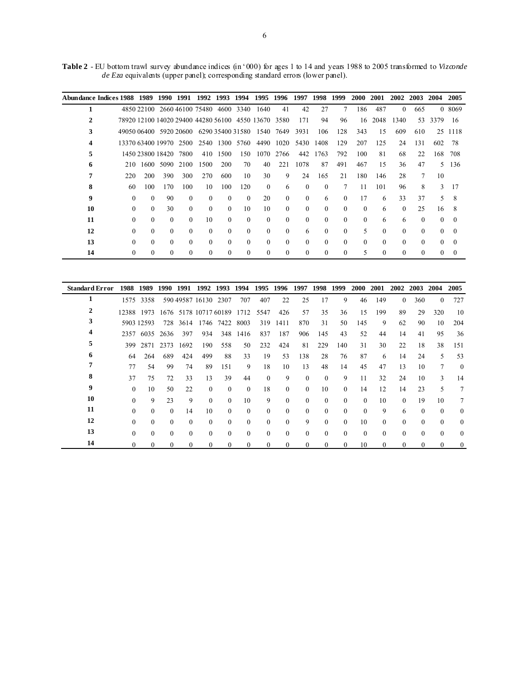**Table 2** - EU bottom trawl survey abundance indices (in '000) for ages 1 to 14 and years 1988 to 2005 transformed to *Vizconde de Eza* equivalents (upper panel); corresponding standard errors (lower panel).

|    | Abundance Indices 1988 1989 |                  | 1990     | 1991                                                | 1992     | 1993      | 1994             | 1995     | 1996     | 1997     | 1998     | 1999     | 2000     | 2001     | 2002     | 2003     | 2004     | 2005     |
|----|-----------------------------|------------------|----------|-----------------------------------------------------|----------|-----------|------------------|----------|----------|----------|----------|----------|----------|----------|----------|----------|----------|----------|
| 1  |                             |                  |          | 4850 22100 2660 46100 75480 4600 3340               |          |           |                  | 1640     | 41       | 42       | 27       | $\tau$   | 186      | 487      | $\Omega$ | 665      |          | 0 8069   |
|    |                             |                  |          | 78920 12100 14020 29400 44280 56100 4550 13670 3580 |          |           |                  |          |          | 171      | 94       | 96       | 16       | 2048     | 1340     | 53       | 3379     | 16       |
| 3  |                             |                  |          | 49050 06400 5920 20600                              |          |           | 6290 35400 31580 | 1540     | 7649     | 3931     | 106      | 128      | 343      | 15       | 609      | 610      | 25       | 1118     |
|    |                             |                  |          | 13370 63400 19970 2500                              |          | 2540 1300 | 5760             | 4490     | 1020     | 5430     | 1408     | 129      | 207      | 125      | 24       | 131      | 602      | -78      |
| 5  |                             | 1450 23800 18420 |          | 7800                                                | 410      | 1500      | 150              | 1070     | 2766     | 442      | 1763     | 792      | 100      | 81       | 68       | 22       | 168      | 708      |
| 6  | 210                         | 1600             | 5090     | 2100                                                | 1500     | 200       | 70               | 40       | 221      | 1078     | 87       | 491      | 467      | 15       | 36       | 47       | 5.       | 136      |
|    | 220                         | 200              | 390      | 300                                                 | 270      | 600       | 10               | 30       | 9        | 24       | 165      | 21       | 180      | 146      | 28       | 7        | 10       |          |
| 8  | 60                          | 100              | 170      | 100                                                 | 10       | 100       | 120              | $\theta$ | 6        | $\Omega$ | $\Omega$ | 7        | 11       | 101      | 96       | 8        | 3        | 17       |
| 9  | $\left($                    | $\Omega$         | 90       | $\Omega$                                            | $\theta$ | $\Omega$  | $\theta$         | 20       | $\Omega$ | $\Omega$ | 6        | $\theta$ | 17       | 6        | 33       | 37       | 5.       | 8        |
| 10 | $\Omega$                    | $\Omega$         | 30       | $\Omega$                                            | $\Omega$ | $\Omega$  | 10               | 10       | $\theta$ | $\Omega$ | $\Omega$ | $\Omega$ | $\Omega$ | 6        | $\Omega$ | 25       | 16       | 8        |
| 11 | $\Omega$                    | $\Omega$         | $\theta$ | $\Omega$                                            | 10       | $\Omega$  | $\theta$         | $\theta$ | $\Omega$ | $\Omega$ | $\Omega$ | $\theta$ | $\Omega$ | 6        | 6        | $\Omega$ | $\Omega$ | $\theta$ |
| 12 | $\Omega$                    | $\Omega$         | $\Omega$ | $\Omega$                                            | $\Omega$ | $\Omega$  | $\theta$         | $\theta$ | $\Omega$ | 6        | $\Omega$ | $\theta$ | 5        | $\Omega$ | $\Omega$ | $\Omega$ | $\Omega$ | $\theta$ |
| 13 | $\Omega$                    | $\Omega$         | $\Omega$ | $\Omega$                                            | $\Omega$ | $\Omega$  | $\theta$         | $\Omega$ | $\theta$ | $\Omega$ | $\Omega$ | $\theta$ | $\Omega$ | $\Omega$ | $\Omega$ | $\Omega$ | $\Omega$ | $\Omega$ |
| 14 | 0                           | $\Omega$         | $\Omega$ | 0                                                   | $\Omega$ | 0         | $\theta$         | $\Omega$ | $\left($ | 0        | 0        | $\theta$ | 5        | $\Omega$ | $\Omega$ | $\Omega$ | 0        | $\theta$ |

| <b>Standard Error</b> | 1988     | 1989       | 1990         | 1991         | 1992                  | 1993         | 1994     | 1995         | 1996     | 1997     | 1998     | 1999         | <b>2000</b> | 2001         | 2002     | 2003     | 2004         | 2005         |
|-----------------------|----------|------------|--------------|--------------|-----------------------|--------------|----------|--------------|----------|----------|----------|--------------|-------------|--------------|----------|----------|--------------|--------------|
|                       | 1575     | 3358       |              |              | 590 49587 16130       | 2307         | 707      | 407          | 22       | 25       | 17       | 9            | 46          | 149          | $\theta$ | 360      | $\theta$     | 727          |
|                       |          | 12388 1973 |              |              | 1676 5178 10717 60189 |              | 1712     | 5547         | 426      | 57       | 35       | 36           | 15          | 199          | 89       | 29       | 320          | 10           |
| 3                     |          | 5903 12593 | 728          | 3614         | 1746                  | 7422         | 8003     | 319          | 1411     | 870      | 31       | 50           | 145         | 9            | 62       | 90       | 10           | 204          |
|                       | 2357     | 6035       | 2636         | 397          | 934                   | 348          | 1416     | 837          | 187      | 906      | 145      | 43           | 52          | 44           | 14       | 41       | 95           | 36           |
| C.                    | 399      | 2871       | 2373         | 1692         | 190                   | 558          | 50       | 232          | 424      | 81       | 229      | 140          | 31          | 30           | 22       | 18       | 38           | 151          |
|                       | 64       | 264        | 689          | 424          | 499                   | 88           | 33       | 19           | 53       | 138      | 28       | 76           | 87          | 6            | 14       | 24       | 5            | 53           |
|                       | 77       | 54         | 99           | 74           | 89                    | 151          | 9        | 18           | 10       | 13       | 48       | 14           | 45          | 47           | 13       | 10       | 7            | $\theta$     |
| 8                     | 37       | 75         | 72           | 33           | 13                    | 39           | 44       | $\theta$     | 9        | $\theta$ | $\Omega$ | 9            | 11          | 32           | 24       | 10       | 3            | 14           |
| 9                     | $\theta$ | 10         | 50           | 22           | $\theta$              | $\theta$     | $\theta$ | 18           | $\Omega$ | $\Omega$ | 10       | $\theta$     | 14          | 12           | 14       | 23       | 5            | 7            |
| 10                    | $\Omega$ | 9          | 23           | 9            | $\theta$              | $\Omega$     | 10       | 9            | $\Omega$ | $\theta$ | $\Omega$ | $\theta$     | $\Omega$    | 10           | $\Omega$ | 19       | 10           | 7            |
| 11                    | $\Omega$ | $\Omega$   | $\theta$     | 14           | 10                    | $\Omega$     | $\theta$ | $\theta$     | $\Omega$ | $\Omega$ | $\Omega$ | $\Omega$     | $\theta$    | 9            | 6        | $\Omega$ | $\theta$     | $\mathbf{0}$ |
| 12                    | $\Omega$ | $\Omega$   | $\theta$     | $\theta$     | $\theta$              | $\Omega$     | $\theta$ | $\theta$     | $\Omega$ | 9        | $\Omega$ | $\Omega$     | 10          | $\Omega$     | $\Omega$ | $\Omega$ | $\theta$     | $\mathbf{0}$ |
| 13                    | $\Omega$ | $\Omega$   | $\theta$     | $\theta$     | $\theta$              | $\Omega$     | $\theta$ | $\theta$     | $\theta$ | $\theta$ | $\Omega$ | $\theta$     | $\theta$    | $\theta$     | $\Omega$ | $\theta$ | $\theta$     | $\theta$     |
| 14                    | $\Omega$ |            | $\mathbf{0}$ | $\mathbf{0}$ | $\mathbf{0}$          | $\mathbf{0}$ | $\bf{0}$ | $\mathbf{0}$ | $\theta$ | $\theta$ | 0        | $\mathbf{0}$ | 10          | $\mathbf{0}$ | $\theta$ | $\theta$ | $\mathbf{0}$ | $\mathbf{0}$ |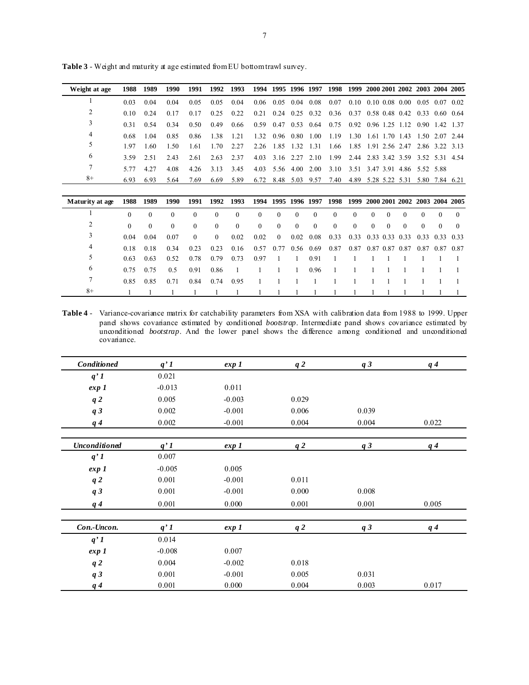| Weight at age | 1988 | 1989  | 1990 | 1991  |       | 1992 1993 |      |                |                          |      |  | 1994 1995 1996 1997 1998 1999 2000 2001 2002 2003 2004 2005 |                |  |
|---------------|------|-------|------|-------|-------|-----------|------|----------------|--------------------------|------|--|-------------------------------------------------------------|----------------|--|
|               | 0.03 | 0.04  | 0.04 | 0.05  | 0.05  | 0.04      | 0.06 |                | $0.05$ 0.04 0.08         | 0.07 |  | $0.10 \quad 0.10 \quad 0.08 \quad 0.00$                     | 0.05 0.07 0.02 |  |
|               | 0.10 | 0.24  | 0.17 | 0.17  | 0.25  | 0.22      | 0.21 |                | 0.24 0.25 0.32 0.36      |      |  | 0.37 0.58 0.48 0.42 0.33 0.60 0.64                          |                |  |
| 3             | 0.31 | 0.54  | 0.34 | 0.50  | 0.49  | 0.66      |      |                |                          |      |  | 0.59 0.47 0.53 0.64 0.75 0.92 0.96 1.25 1.12 0.90 1.42 1.37 |                |  |
| 4             | 0.68 | 1.04  | 0.85 | 0.86  | 1 3 8 | 121       |      | 1.32 0.96 0.80 | 1.00                     | 1.19 |  | 1.30 1.61 1.70 1.43 1.50 2.07 2.44                          |                |  |
| 5             | 197  | 1.60  | 1.50 | 1.61  | 1.70  | 2.27      |      | 2.26 1.85 1.32 | 1 3 1                    | 1.66 |  | 1.85 1.91 2.56 2.47 2.86 3.22 3.13                          |                |  |
| 6             | 3.59 | 2.51  | 2.43 | 2.61  | 2.63  | 2.37      |      |                | 4.03 3.16 2.27 2.10 1.99 |      |  | 2.44 2.83 3.42 3.59 3.52 5.31 4.54                          |                |  |
| 7             | 5.77 | 4 2 7 | 4.08 | 4 2 6 | 3.13  | 3.45      | 4.03 |                | 5.56 4.00 2.00           | 3.10 |  | 3.51 3.47 3.91 4.86 5.52 5.88                               |                |  |
| $8+$          | 6.93 | 6.93  | 5.64 | 7.69  | 6.69  | 5.89      | 6.72 |                | 8.48 5.03 9.57 7.40      |      |  | 4.89 5.28 5.22 5.31 5.80 7.84 6.21                          |                |  |

**Table 3** - Weight and maturity at age estimated from EU bottom trawl survey.

| Maturity at age | 1988     | 1989     | 1990     | 1991     |          | 1992 1993      |                |                |          |           | 1994 1995 1996 1997 1998 1999 2000 2001 2002 2003 2004 2005 |                                    |          |          |                               |          |          |          |
|-----------------|----------|----------|----------|----------|----------|----------------|----------------|----------------|----------|-----------|-------------------------------------------------------------|------------------------------------|----------|----------|-------------------------------|----------|----------|----------|
|                 | $\Omega$ | $\theta$ | $\Omega$ | $\theta$ | $\theta$ | $\Omega$       | $\overline{0}$ | $\mathbf{0}$   | $\Omega$ | $\theta$  | $\mathbf{0}$                                                | $\overline{0}$                     | $\theta$ | $\theta$ | $\theta$                      | $\Omega$ | $\theta$ | $\Omega$ |
| 2               | $\theta$ | $\theta$ | $\theta$ | $\theta$ | $\theta$ | $\mathbf{0}$   | $\overline{0}$ | $\overline{0}$ | $\theta$ | $\theta$  | $\overline{0}$                                              | $\mathbf{0}$                       | $\theta$ | $\theta$ | $\theta$                      | $\Omega$ | $\theta$ | $\Omega$ |
| 3               | 0.04     | 0.04     | 0.07     | $\Omega$ | $\theta$ | 0.02           | 0.02           | $\bf{0}$       | 0.02     | 0.08      | 0.33                                                        | 0.33 0.33 0.33 0.33 0.33 0.33 0.33 |          |          |                               |          |          |          |
| 4               | 0.18     | 0.18     | 0.34     | 0.23     | 0.23     | 0.16           | 0.57           | 0.77           |          | 0.56 0.69 | 0.87                                                        | 0.87                               |          |          | 0.87 0.87 0.87 0.87 0.87 0.87 |          |          |          |
| 5               | 0.63     | 0.63     | 0.52     | 0.78     | 0.79     | 0.73           | 0.97           | $\overline{1}$ | -1       | 0.91      |                                                             |                                    |          |          |                               |          |          |          |
| 6               | 0.75     | 0.75     | 0.5      | 0.91     | 0.86     | $\overline{1}$ |                |                | - 1      | 0.96      | $\overline{1}$                                              |                                    |          |          |                               |          |          |          |
|                 | 0.85     | 0.85     | 0.71     | 0.84     | 0.74     | 0.95           |                |                |          |           |                                                             |                                    |          |          |                               |          |          |          |
| $8+$            |          |          |          |          |          |                |                |                |          |           |                                                             |                                    |          |          |                               |          |          |          |

**Table 4** - Variance-covariance matrix for catchability parameters from XSA with calibration data from 1988 to 1999. Upper panel shows covariance estimated by conditioned *bootstrap*. Intermediate panel shows covariance estimated by unconditioned *bootstrap*. And the lower panel shows the difference among conditioned and unconditioned covariance.

| Conditioned    | q'1      | exp 1    | q2    | q3             | q <sub>4</sub> |
|----------------|----------|----------|-------|----------------|----------------|
| q'1            | 0.021    |          |       |                |                |
| exp 1          | $-0.013$ | 0.011    |       |                |                |
| q <sub>2</sub> | 0.005    | $-0.003$ | 0.029 |                |                |
| q <sub>3</sub> | 0.002    | $-0.001$ | 0.006 | 0.039          |                |
| q <sub>4</sub> | 0.002    | $-0.001$ | 0.004 | 0.004          | 0.022          |
| Unconditioned  | q'1      | exp 1    | q2    | q3             | $q\,4$         |
| q'1            | 0.007    |          |       |                |                |
| exp 1          | $-0.005$ | 0.005    |       |                |                |
| q2             | 0.001    | $-0.001$ | 0.011 |                |                |
| q3             | 0.001    | $-0.001$ | 0.000 | 0.008          |                |
| q <sub>4</sub> | 0.001    | 0.000    | 0.001 | 0.001          | 0.005          |
| Con.-Uncon.    | q'1      | exp 1    | q2    | q <sub>3</sub> | q <sub>4</sub> |
| q'1            | 0.014    |          |       |                |                |
| exp 1          | $-0.008$ | 0.007    |       |                |                |
| q <sub>2</sub> | 0.004    | $-0.002$ | 0.018 |                |                |
| q <sub>3</sub> | 0.001    | $-0.001$ | 0.005 | 0.031          |                |
| q <sub>4</sub> | 0.001    | 0.000    | 0.004 | 0.003          | 0.017          |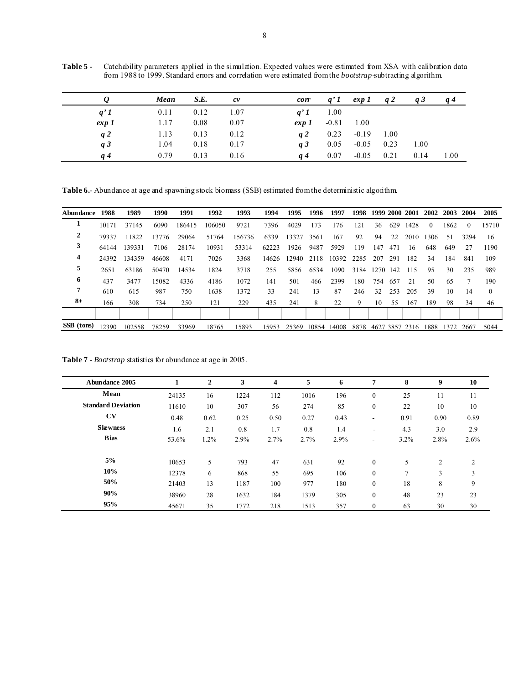**Table 5** - Catchability parameters applied in the simulation. Expected values were estimated from XSA with calibration data from 1988 to 1999. Standard errors and correlation were estimated from the *bootstrap*-subtracting algorithm.

|                | Mean | S.E. | c v  | corr     | q'1     | exp 1   | q2   | q <sub>3</sub> | q <sub>4</sub> |
|----------------|------|------|------|----------|---------|---------|------|----------------|----------------|
| q'1            | 0.11 | 0.12 | 1.07 | q'1      | 1.00    |         |      |                |                |
| exp 1          | 1.17 | 0.08 | 0.07 | $\exp 1$ | $-0.81$ | 1.00    |      |                |                |
| q2             | 1.13 | 0.13 | 0.12 | q2       | 0.23    | $-0.19$ | 1.00 |                |                |
| q <sub>3</sub> | 1.04 | 0.18 | 0.17 | q3       | 0.05    | $-0.05$ | 0.23 | 1.00           |                |
| a 4            | 0.79 | 0.13 | 0.16 | a 4      | 0.07    | $-0.05$ | 0.21 | 0.14           | 1.00           |

Table 6.- Abundance at age and spawning stock biomass (SSB) estimated from the deterministic algorithm.

| Abundance  | 1988  | 1989   | 1990  | 1991   | 1992   | 1993   | 1994  | 1995  | 1996 | 1997        | 1998 |      |     | 1999 2000 2001 | 2002     | 2003 | 2004     | 2005     |
|------------|-------|--------|-------|--------|--------|--------|-------|-------|------|-------------|------|------|-----|----------------|----------|------|----------|----------|
| -1         | 10171 | 37145  | 6090  | 186415 | 106050 | 9721   | 7396  | 4029  | 173  | 176         | 121  | 36   | 629 | 1428           | $\theta$ | 1862 | $\Omega$ | 15710    |
| 2          | 79337 | 11822  | 13776 | 29064  | 51764  | 156736 | 6339  | 13327 | 3561 | 167         | 92   | 94   | 22  | 2010           | 1306     | 51   | 3294     | 16       |
| 3          | 64144 | 139331 | 7106  | 28174  | 10931  | 53314  | 62223 | 1926  | 9487 | 5929        | 119  | 147  | 471 | 16             | 648      | 649  | 27       | 1190     |
| 4          | 24392 | 134359 | 46608 | 4171   | 7026   | 3368   | 14626 | 12940 | 2118 | 10392       | 2285 | 207  | 291 | 182            | 34       | 184  | 841      | 109      |
| 5          | 2651  | 63186  | 50470 | 14534  | 1824   | 3718   | 255   | 5856  | 6534 | 1090        | 3184 | 1270 | 142 | 115            | 95       | 30   | 235      | 989      |
| 6          | 437   | 3477   | 15082 | 4336   | 4186   | 1072   | 141   | 501   | 466  | 2399        | 180  | 754  | 657 | 21             | 50       | 65   |          | 190      |
| 7          | 610   | 615    | 987   | 750    | 1638   | 1372   | 33    | 241   | 13   | 87          | 246  | 32   | 253 | 205            | 39       | 10   | 14       | $\left($ |
| $8+$       | 166   | 308    | 734   | 250    | 121    | 229    | 435   | 241   | 8    | 22          | 9    | 10   | 55  | 167            | 189      | 98   | 34       | 46       |
|            |       |        |       |        |        |        |       |       |      |             |      |      |     |                |          |      |          |          |
| SSB (tons) | 12390 | 102558 | 78259 | 33969  | 18765  | 15893  | 15953 | 25369 |      | 10854 14008 | 8878 |      |     | 4627 3857 2316 | 1888     | 1372 | 2667     | 5044     |

**Table 7** - *Bootstrap* statistics for abundance at age in 2005.

| Abundance 2005            |       | $\mathbf{2}$ | 3    | 4    | 5    | 6    | 7                        | 8    | 9              | 10   |
|---------------------------|-------|--------------|------|------|------|------|--------------------------|------|----------------|------|
| Mean                      | 24135 | 16           | 1224 | 112  | 1016 | 196  | $\mathbf{0}$             | 25   | 11             | 11   |
| <b>Standard Deviation</b> | 11610 | 10           | 307  | 56   | 274  | 85   | $\boldsymbol{0}$         | 22   | 10             | 10   |
| CV                        | 0.48  | 0.62         | 0.25 | 0.50 | 0.27 | 0.43 | $\sim$                   | 0.91 | 0.90           | 0.89 |
| <b>Skewness</b>           | 1.6   | 2.1          | 0.8  | 1.7  | 0.8  | 1.4  | $\overline{\phantom{a}}$ | 4.3  | 3.0            | 2.9  |
| <b>B</b> ias              | 53.6% | $1.2\%$      | 2.9% | 2.7% | 2.7% | 2.9% | $\overline{\phantom{a}}$ | 3.2% | 2.8%           | 2.6% |
| 5%                        | 10653 | 5            | 793  | 47   | 631  | 92   | $\theta$                 | 5    | $\overline{2}$ | 2    |
| 10%                       | 12378 | 6            | 868  | 55   | 695  | 106  | $\mathbf{0}$             | 7    | 3              | 3    |
| 50%                       | 21403 | 13           | 1187 | 100  | 977  | 180  | $\mathbf{0}$             | 18   | 8              | 9    |
| 90%                       | 38960 | 28           | 1632 | 184  | 1379 | 305  | $\mathbf{0}$             | 48   | 23             | 23   |
| 95%                       | 45671 | 35           | 1772 | 218  | 1513 | 357  | $\mathbf{0}$             | 63   | 30             | 30   |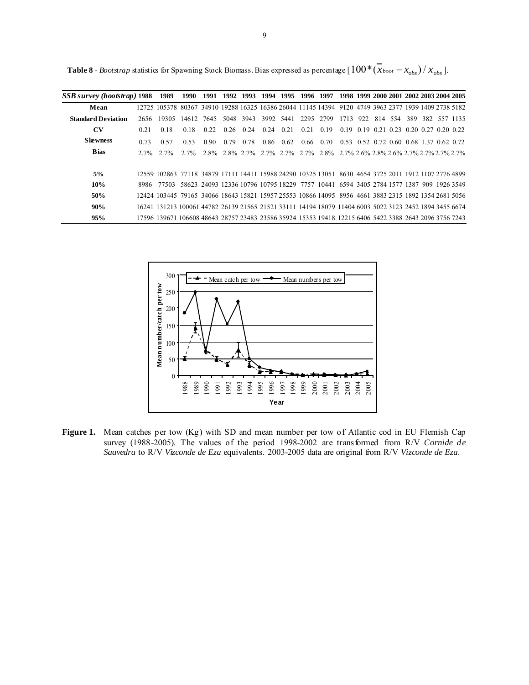**Table 8** - *Bootstrap* statistics for Spawning Stock Biomass. Bias expressed as percentage  $[100*(\bar{x}_{boot} - x_{obs}) / x_{obs}]$ .

| SSB survey (bootstrap) 1988 |      | 1989                                                                                                   |            |      |           |      | 1990 1991 1992 1993 1994 1995 1996 1997 1998 1999 2000 2001 2002 2003 2004 2005 |           |                                                                       |                                         |  |  |  |                          |
|-----------------------------|------|--------------------------------------------------------------------------------------------------------|------------|------|-----------|------|---------------------------------------------------------------------------------|-----------|-----------------------------------------------------------------------|-----------------------------------------|--|--|--|--------------------------|
| Mean                        |      | 12725 105378 80367 34910 19288 16325 16386 26044 11145 14394 9120 4749 3963 2377 1939 1409 2738 5182   |            |      |           |      |                                                                                 |           |                                                                       |                                         |  |  |  |                          |
| <b>Standard Deviation</b>   | 2656 | 19305                                                                                                  | 14612 7645 |      | 5048 3943 |      | 3992 5441                                                                       | 2295 2799 |                                                                       | 1713 922                                |  |  |  | 814 554 389 382 557 1135 |
| <b>CV</b>                   | 0.21 | 0.18                                                                                                   | 0.18       | 0.22 | 0.26 0.24 | 0.24 | 0.21                                                                            | 0.21      | 0.19                                                                  | 0.19 0.19 0.21 0.23 0.20 0.27 0.20 0.22 |  |  |  |                          |
| <b>Skewness</b>             | 0.73 | 0.57                                                                                                   | 0.53       | 0.90 | 0.79 0.78 |      | 0.86 0.62                                                                       |           | $0.66$ $0.70$ $0.53$ $0.52$ $0.72$ $0.60$ $0.68$ $1.37$ $0.62$ $0.72$ |                                         |  |  |  |                          |
| <b>Bias</b>                 |      | $2.7\%$ $2.7\%$                                                                                        | $2.7\%$    |      |           |      | 2.8% 2.8% 2.7% 2.7% 2.7% 2.7% 2.8% 2.7% 2.6% 2.8% 2.8% 2.7% 2.7% 2.7% 2.7%      |           |                                                                       |                                         |  |  |  |                          |
| 5%                          |      | 12559 102863 77118 34879 17111 14411 15988 24290 10325 13051 8630 4654 3725 2011 1912 1107 2776 4899   |            |      |           |      |                                                                                 |           |                                                                       |                                         |  |  |  |                          |
| 10%                         |      | 8986 77503 58623 24093 12336 10796 10795 18229 7757 10441 6594 3405 2784 1577 1387 909 1926 3549       |            |      |           |      |                                                                                 |           |                                                                       |                                         |  |  |  |                          |
| 50%                         |      | 12424 103445 79165 34066 18643 15821 15957 25553 10866 14095 8956 4661 3883 2315 1892 1354 2681 5056   |            |      |           |      |                                                                                 |           |                                                                       |                                         |  |  |  |                          |
| 90%                         |      | 16241 131213 100061 44782 26139 21565 21521 33111 14194 18079 11404 6003 5022 3123 2452 1894 3455 6674 |            |      |           |      |                                                                                 |           |                                                                       |                                         |  |  |  |                          |
| 95%                         |      | 17596 139671 106608 48643 28757 23483 23586 35924 15353 19418 12215 6406 5422 3388 2643 2096 3756 7243 |            |      |           |      |                                                                                 |           |                                                                       |                                         |  |  |  |                          |



**Figure 1.** Mean catches per tow (Kg) with SD and mean number per tow of Atlantic cod in EU Flemish Cap survey (1988-2005). The values of the period 1998-2002 are transformed from R/V *Cornide de Saavedra* to R/V *Vizconde de Eza* equivalents. 2003-2005 data are original from R/V *Vizconde de Eza*.